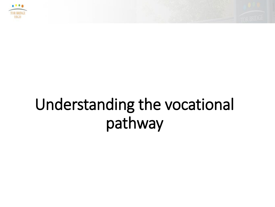



### Understanding the vocational pathway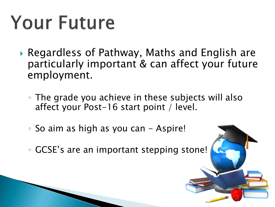# **Your Future**

- Regardless of Pathway, Maths and English are particularly important & can affect your future employment.
	- The grade you achieve in these subjects will also affect your Post-16 start point / level.
	- So aim as high as you can Aspire!
	- GCSE's are an important stepping stone!

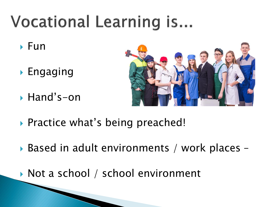## **Vocational Learning is...**

- $\triangleright$  Fun
- $\blacktriangleright$  Engaging
- Hand's-on



- ▶ Practice what's being preached!
- ▶ Based in adult environments / work places –
- ▶ Not a school / school environment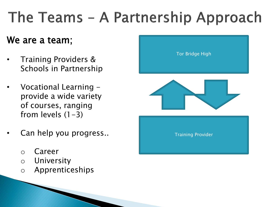### The Teams - A Partnership Approach

#### We are a team;

- Training Providers & Schools in Partnership
- Vocational Learning provide a wide variety of courses, ranging from levels  $(1-3)$
- Can help you progress..
	- o Career
	- o University
	- o Apprenticeships

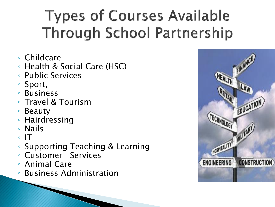### **Types of Courses Available Through School Partnership**

- Childcare
- Health & Social Care (HSC)
- Public Services
- Sport,
- Business
- Travel & Tourism
- Beauty
- Hairdressing
- Nails
- $\circ$  IT
- Supporting Teaching & Learning
- Customer Services
- Animal Care
- Business Administration